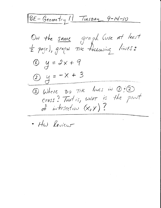BE-Geometry 11 Tuesday 9-14-10 On the same graph (use At least<br>= page), graph The following lines:  $\circledR$  y = 2x + 9 2  $y = -x + 3$ 3) Where DO TEK lines in DED cross? That is, what is the point of intersection  $(x,y)$ ?

· HW Review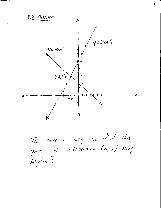

Is there a way to find this point of intersection (x, y) using Algebra?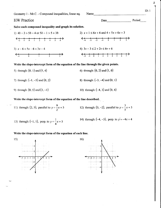Geometry 1 - Mr.C. - Compound inequalities, linear eq. Name HW Practice Solve each compound inequality and graph its solution. Date and the second second second second second second second second second second second second second second second second second second second second second second second second second second second second second second 2)  $x + 1 \le 6x + 6$  and  $4 + 5x > 6x + 3$  $-4$   $-3$   $-2$   $-1$  0 1 2 3 4)  $3v-3 \leq 2+2v \leq 6v+6$ -2-t0t23456'l Period l)  $4b - 3 > 5b - 4$  or  $5b - 1 > 5 + 3b$  $\leftarrow$   $\leftarrow$   $\leftarrow$   $\leftarrow$   $\leftarrow$   $\leftarrow$   $\leftarrow$   $\leftarrow$   $\leftarrow$   $\leftarrow$   $\leftarrow$   $\leftarrow$   $\leftarrow$   $\leftarrow$   $\leftarrow$   $\leftarrow$   $\leftarrow$   $\leftarrow$   $\leftarrow$   $\leftarrow$   $\leftarrow$   $\leftarrow$   $\leftarrow$   $\leftarrow$   $\leftarrow$   $\leftarrow$   $\leftarrow$   $\leftarrow$   $\leftarrow$   $\leftarrow$   $\leftarrow$   $\leftarrow$   $\leftarrow$   $\leftarrow$   $\leftarrow$   $\leftarrow$   $\leftarrow$ 3)  $x-6 < 5x-6 < 3x-4$ -1 0 1 2 3 5) through:  $(0, 1)$  and  $(5, 4)$ 7) through:  $(-1, -5)$  and  $(0, 2)$ 9) through:  $(0, 5)$  and  $(3, -1)$ 11) through: (2, 5), parallel to  $y = \frac{3}{5}x + 5$ z 13) through:  $(-1, 1)$ , perp. to  $y = -x + 5$ 4 Write the slope-intercept form of the equation of the line through the given points. 6) through:  $(0, 2)$  and  $(1, 0)$ 8) through:  $(-3, -4)$  and  $(0, 1)$ 10) through:  $(-4, 3)$  and  $(0, 4)$ Write the slope-intercept form of the equation of the line described. 12) through:  $(5, -2)$ , parallel to  $y = -\frac{3}{5}x + 5$ 14) through:  $(-4, -3)$ , perp. to  $y = -4x + 4$ 

Write the slope-intercept form of the equation of each line.



ID: I

 $\mathbf{z}$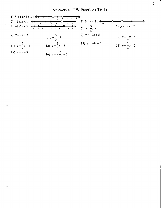Answers to HW Practice (ID: 1)

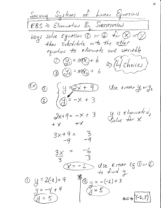<u>Solving Systems of Linear Equations</u> EBS => Elimination By SUBSTITUTION Key: solve Equation  $0$  or  $0$  for  $0$  or  $0$ <br>then substitute m to the other  $O(g)=m(x)+b$   $\Rightarrow (17$  choices)  $(2)(3) = m(x) + b$  $\frac{1}{2}y=\sqrt{2x+9}$  $\overset{f(x)}{\sim} 0$ Use  $\epsilon_1$ THC  $\frac{U_1}{U_1}$  or  $\frac{U_2}{U_2}$  $\circledcirc$  (g=-x+3 y is eliminated,  $2x+9 = -x + 3$  $+ x + x$  $3x+9 = 3$ <br>-9 -9  $\frac{3x}{3}$  =  $\begin{array}{ccc}\n\overbrace{(X=-2)} & \text{Use} & \text{Expectr} & \text{Ex} & \text{Exerc} & \text{Exerc} & \text{Exerc} & \text{Exerc} & \text{Exerc} & \text{Exerc} & \text{Exerc} & \text{Exerc} & \text{Exerc} & \text{Exerc} & \text{Exerc} & \text{Exerc} & \text{Exerc} & \text{Exerc} & \text{Exerc} & \text{Exerc} & \text{Exerc} & \text{Exerc} & \text{Exerc} & \text{Exerc} & \text{Exerc} & \text{Exerc} & \text{Exerc} & \text{Exerc} & \text{Exerc} & \text{Exerc} & \$  $\frac{98}{10}$  y = -(-2) + 3  $0 y = 2(2)+9$  $rac{y=-4+9}{y=5}$  $\mathbb{C}$  = 5 ANS  $\Rightarrow$  (-2, 5)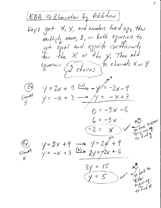EBA => Elminiation by Addition) Key:  $get \times, \times,$  and numbers lived up, then multiply Nowe, 1, or both Equations to get Equal and opposite coefficients<br>for the X or the Y. Then add Equations  $\sqrt{2}$  choices) to climate Xor Y.  $y = 2x + 9$   $\xrightarrow{-1}$   $y = -2x - 9$  $\mathcal{E}$ limnufile  $y = -x + 3$   $\rightarrow$   $y = -x + 3$  $0 = -3x - 6$  $6 = -3x$ Joback To Emico  $-2 = x$  $y=2x+9$   $\rightarrow y=2x+9$ <br> $y=-x+3$   $\stackrel{(2)}{=} 2y=72x+6$ Johnt to<br>City for eg-<br>original X  $3y = 15$  $(y = 5)$ 

5.